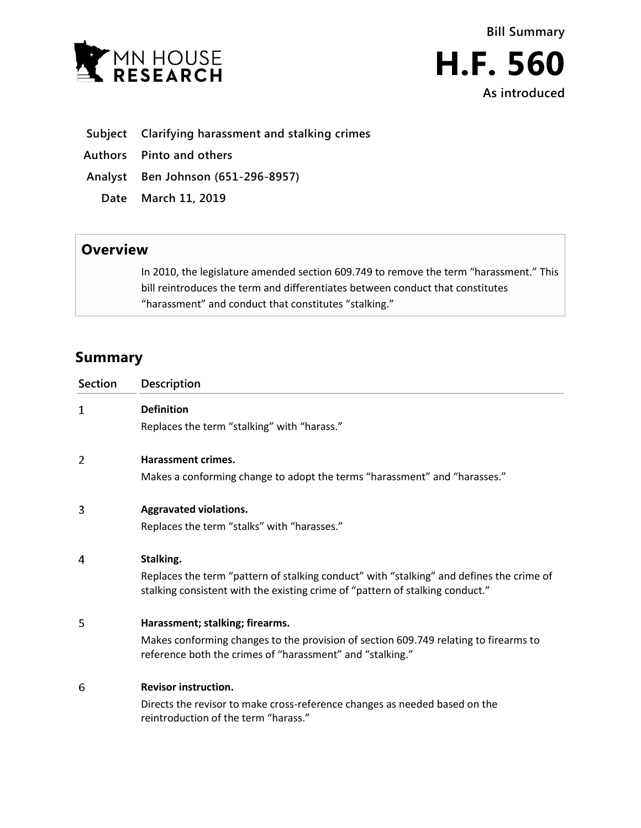

- **Subject Clarifying harassment and stalking crimes**
- **Authors Pinto and others**
- **Analyst Ben Johnson (651-296-8957)**
	- **Date March 11, 2019**

## **Overview**

In 2010, the legislature amended section 609.749 to remove the term "harassment." This bill reintroduces the term and differentiates between conduct that constitutes "harassment" and conduct that constitutes "stalking."

## **Summary**

| <b>Section</b> | Description                                                                                                                                                                            |
|----------------|----------------------------------------------------------------------------------------------------------------------------------------------------------------------------------------|
| 1              | <b>Definition</b><br>Replaces the term "stalking" with "harass."                                                                                                                       |
| 2              | Harassment crimes.<br>Makes a conforming change to adopt the terms "harassment" and "harasses."                                                                                        |
| 3              | <b>Aggravated violations.</b><br>Replaces the term "stalks" with "harasses."                                                                                                           |
| 4              | Stalking.<br>Replaces the term "pattern of stalking conduct" with "stalking" and defines the crime of<br>stalking consistent with the existing crime of "pattern of stalking conduct." |
| 5              | Harassment; stalking; firearms.<br>Makes conforming changes to the provision of section 609.749 relating to firearms to<br>reference both the crimes of "harassment" and "stalking."   |
| 6              | <b>Revisor instruction.</b><br>Directs the revisor to make cross-reference changes as needed based on the<br>reintroduction of the term "harass."                                      |